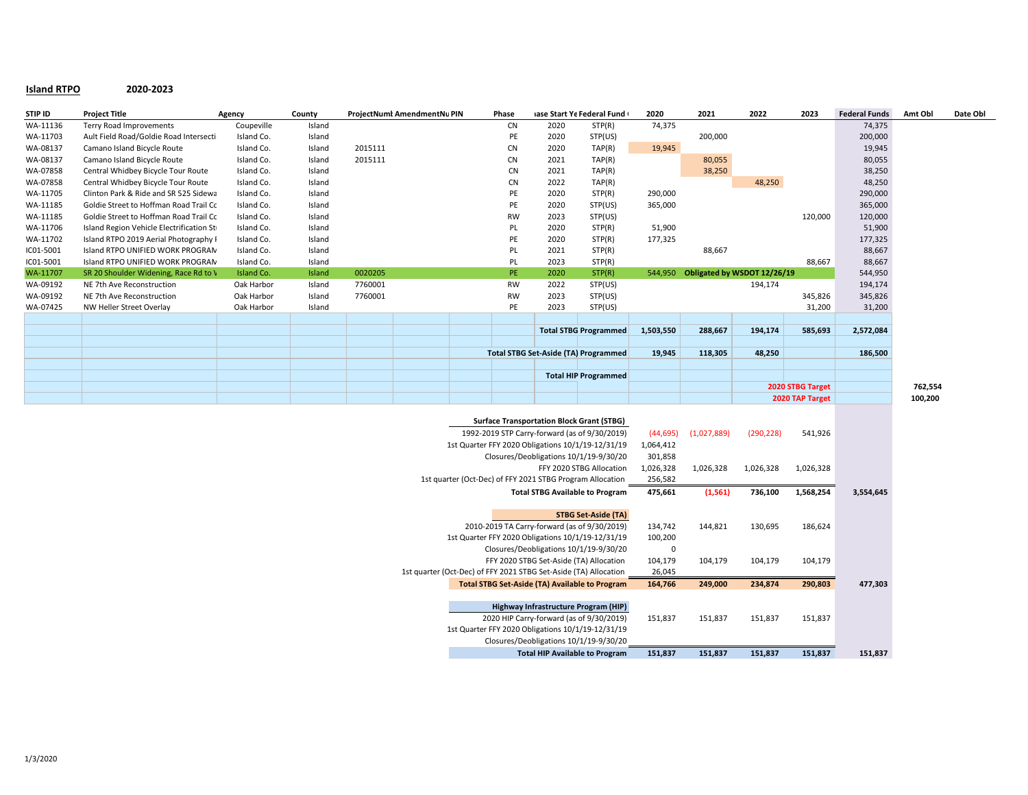## **Island RTPO 2020-2023**

| STIP ID   | <b>Project Title</b>                     | Agency     | County |         | ProjectNuml AmendmentNu PIN | Phase     |                                             | iase Start Ye Federal Fund   | 2020      | 2021    | 2022                        | 2023            | <b>Federal Funds</b> | Amt Obl | Date Obl |
|-----------|------------------------------------------|------------|--------|---------|-----------------------------|-----------|---------------------------------------------|------------------------------|-----------|---------|-----------------------------|-----------------|----------------------|---------|----------|
| WA-11136  | Terry Road Improvements                  | Coupeville | Island |         |                             | <b>CN</b> | 2020                                        | STP(R)                       | 74,375    |         |                             |                 | 74,375               |         |          |
| WA-11703  | Ault Field Road/Goldie Road Intersecti   | Island Co. | Island |         |                             | PE        | 2020                                        | STP(US)                      |           | 200,000 |                             |                 | 200,000              |         |          |
| WA-08137  | Camano Island Bicycle Route              | Island Co. | Island | 2015111 |                             | <b>CN</b> | 2020                                        | TAP(R)                       | 19,945    |         |                             |                 | 19,945               |         |          |
| WA-08137  | Camano Island Bicycle Route              | Island Co. | Island | 2015111 |                             | <b>CN</b> | 2021                                        | TAP(R)                       |           | 80,055  |                             |                 | 80,055               |         |          |
| WA-07858  | Central Whidbey Bicycle Tour Route       | Island Co. | Island |         |                             | <b>CN</b> | 2021                                        | TAP(R)                       |           | 38,250  |                             |                 | 38,250               |         |          |
| WA-07858  | Central Whidbey Bicycle Tour Route       | Island Co. | Island |         |                             | <b>CN</b> | 2022                                        | TAP(R)                       |           |         | 48,250                      |                 | 48,250               |         |          |
| WA-11705  | Clinton Park & Ride and SR 525 Sidewa    | Island Co. | Island |         |                             | PE        | 2020                                        | STP(R)                       | 290,000   |         |                             |                 | 290,000              |         |          |
| WA-11185  | Goldie Street to Hoffman Road Trail Co   | Island Co. | Island |         |                             | PE        | 2020                                        | STP(US)                      | 365,000   |         |                             |                 | 365,000              |         |          |
| WA-11185  | Goldie Street to Hoffman Road Trail Co   | Island Co. | Island |         |                             | RW        | 2023                                        | STP(US)                      |           |         |                             | 120,000         | 120,000              |         |          |
| WA-11706  | Island Region Vehicle Electrification St | Island Co. | Island |         |                             | PL        | 2020                                        | STP(R)                       | 51,900    |         |                             |                 | 51,900               |         |          |
| WA-11702  | Island RTPO 2019 Aerial Photography I    | Island Co. | Island |         |                             | PE        | 2020                                        | STP(R)                       | 177,325   |         |                             |                 | 177,325              |         |          |
| IC01-5001 | Island RTPO UNIFIED WORK PROGRAN         | Island Co. | Island |         |                             | PL        | 2021                                        | STP(R)                       |           | 88,667  |                             |                 | 88,667               |         |          |
| IC01-5001 | Island RTPO UNIFIED WORK PROGRAN         | Island Co. | Island |         |                             | PL        | 2023                                        | STP(R)                       |           |         |                             | 88,667          | 88,667               |         |          |
| WA-11707  | SR 20 Shoulder Widening, Race Rd to \    | Island Co. | Island | 0020205 |                             | PE.       | 2020                                        | STP(R)                       | 544.950   |         | Obligated by WSDOT 12/26/19 |                 | 544,950              |         |          |
| WA-09192  | NE 7th Ave Reconstruction                | Oak Harbor | Island | 7760001 |                             | <b>RW</b> | 2022                                        | STP(US)                      |           |         | 194,174                     |                 | 194,174              |         |          |
| WA-09192  | NE 7th Ave Reconstruction                | Oak Harbor | Island | 7760001 |                             | RW        | 2023                                        | STP(US)                      |           |         |                             | 345,826         | 345,826              |         |          |
| WA-07425  | NW Heller Street Overlay                 | Oak Harbor | Island |         |                             | PE        | 2023                                        | STP(US)                      |           |         |                             | 31,200          | 31,200               |         |          |
|           |                                          |            |        |         |                             |           |                                             |                              |           |         |                             |                 |                      |         |          |
|           |                                          |            |        |         |                             |           |                                             | <b>Total STBG Programmed</b> | 1,503,550 | 288,667 | 194,174                     | 585,693         | 2,572,084            |         |          |
|           |                                          |            |        |         |                             |           |                                             |                              |           |         |                             |                 |                      |         |          |
|           |                                          |            |        |         |                             |           | <b>Total STBG Set-Aside (TA) Programmed</b> |                              | 19,945    | 118,305 | 48,250                      |                 | 186,500              |         |          |
|           |                                          |            |        |         |                             |           |                                             |                              |           |         |                             |                 |                      |         |          |
|           |                                          |            |        |         |                             |           | <b>Total HIP Programmed</b>                 |                              |           |         |                             |                 |                      |         |          |
|           |                                          |            |        |         |                             |           |                                             |                              |           |         | 2020 STBG Target            |                 |                      | 762,554 |          |
|           |                                          |            |        |         |                             |           |                                             |                              |           |         |                             | 2020 TAP Target |                      | 100,200 |          |

| <b>Surface Transportation Block Grant (STBG)</b>                 |           |             |            |           |           |
|------------------------------------------------------------------|-----------|-------------|------------|-----------|-----------|
| 1992-2019 STP Carry-forward (as of 9/30/2019)                    | (44, 695) | (1,027,889) | (290, 228) | 541,926   |           |
| 1st Quarter FFY 2020 Obligations 10/1/19-12/31/19                | 1,064,412 |             |            |           |           |
| Closures/Deobligations 10/1/19-9/30/20                           | 301,858   |             |            |           |           |
| FFY 2020 STBG Allocation                                         | 1,026,328 | 1,026,328   | 1,026,328  | 1,026,328 |           |
| 1st quarter (Oct-Dec) of FFY 2021 STBG Program Allocation        | 256,582   |             |            |           |           |
| <b>Total STBG Available to Program</b>                           | 475,661   | (1, 561)    | 736,100    | 1,568,254 | 3,554,645 |
|                                                                  |           |             |            |           |           |
| <b>STBG Set-Aside (TA)</b>                                       |           |             |            |           |           |
| 2010-2019 TA Carry-forward (as of 9/30/2019)                     | 134,742   | 144,821     | 130,695    | 186,624   |           |
| 1st Quarter FFY 2020 Obligations 10/1/19-12/31/19                | 100,200   |             |            |           |           |
| Closures/Deobligations 10/1/19-9/30/20                           | 0         |             |            |           |           |
| FFY 2020 STBG Set-Aside (TA) Allocation                          | 104,179   | 104,179     | 104,179    | 104,179   |           |
| 1st quarter (Oct-Dec) of FFY 2021 STBG Set-Aside (TA) Allocation | 26,045    |             |            |           |           |
| <b>Total STBG Set-Aside (TA) Available to Program</b>            | 164,766   | 249,000     | 234,874    | 290,803   | 477,303   |
|                                                                  |           |             |            |           |           |
| Highway Infrastructure Program (HIP)                             |           |             |            |           |           |
| 2020 HIP Carry-forward (as of 9/30/2019)                         | 151,837   | 151,837     | 151,837    | 151,837   |           |
| 1st Quarter FFY 2020 Obligations 10/1/19-12/31/19                |           |             |            |           |           |
| Closures/Deobligations 10/1/19-9/30/20                           |           |             |            |           |           |
| <b>Total HIP Available to Program</b>                            | 151,837   | 151,837     | 151,837    | 151,837   | 151,837   |